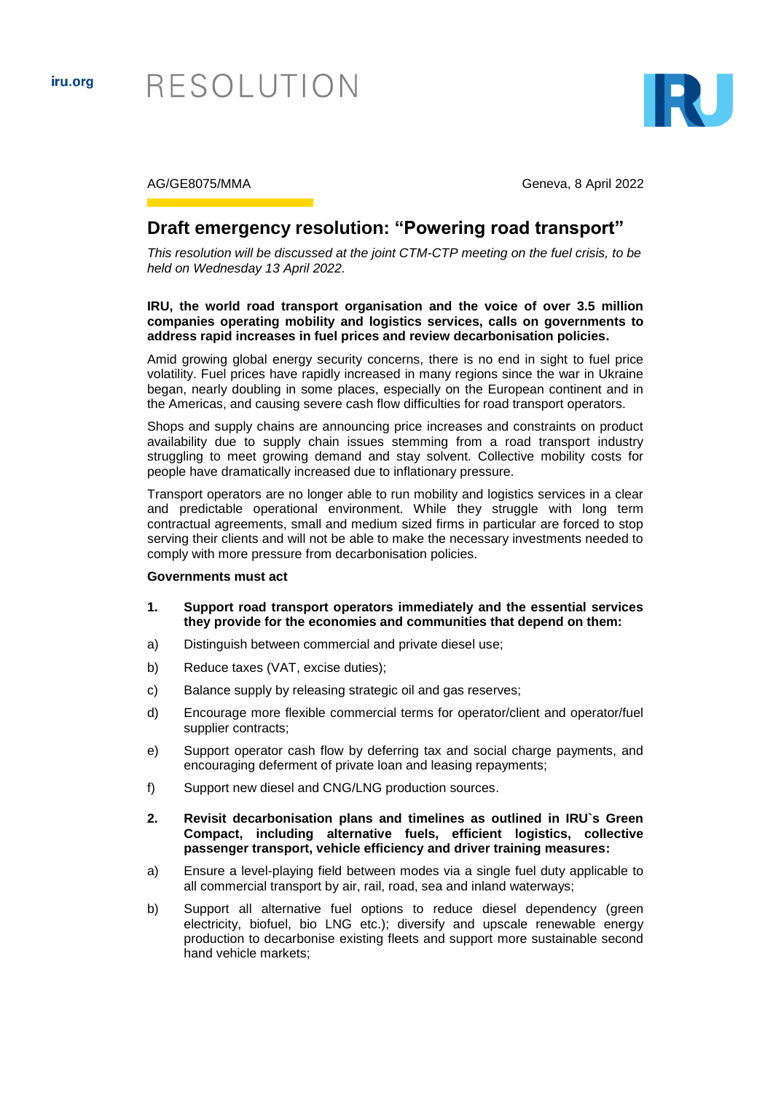

RESOLUTION



AG/GE8075/MMA Geneva, 8 April 2022

# **Draft emergency resolution: "Powering road transport"**

*This resolution will be discussed at the joint CTM-CTP meeting on the fuel crisis, to be held on Wednesday 13 April 2022.*

## **IRU, the world road transport organisation and the voice of over 3.5 million companies operating mobility and logistics services, calls on governments to address rapid increases in fuel prices and review decarbonisation policies.**

Amid growing global energy security concerns, there is no end in sight to fuel price volatility. Fuel prices have rapidly increased in many regions since the war in Ukraine began, nearly doubling in some places, especially on the European continent and in the Americas, and causing severe cash flow difficulties for road transport operators.

Shops and supply chains are announcing price increases and constraints on product availability due to supply chain issues stemming from a road transport industry struggling to meet growing demand and stay solvent. Collective mobility costs for people have dramatically increased due to inflationary pressure.

Transport operators are no longer able to run mobility and logistics services in a clear and predictable operational environment. While they struggle with long term contractual agreements, small and medium sized firms in particular are forced to stop serving their clients and will not be able to make the necessary investments needed to comply with more pressure from decarbonisation policies.

#### **Governments must act**

- **1. Support road transport operators immediately and the essential services they provide for the economies and communities that depend on them:**
- a) Distinguish between commercial and private diesel use;
- b) Reduce taxes (VAT, excise duties);
- c) Balance supply by releasing strategic oil and gas reserves;
- d) Encourage more flexible commercial terms for operator/client and operator/fuel supplier contracts;
- e) Support operator cash flow by deferring tax and social charge payments, and encouraging deferment of private loan and leasing repayments;
- f) Support new diesel and CNG/LNG production sources.

### **2. Revisit decarbonisation plans and timelines as outlined in IRU`s Green Compact, including alternative fuels, efficient logistics, collective passenger transport, vehicle efficiency and driver training measures:**

- a) Ensure a level-playing field between modes via a single fuel duty applicable to all commercial transport by air, rail, road, sea and inland waterways;
- b) Support all alternative fuel options to reduce diesel dependency (green electricity, biofuel, bio LNG etc.); diversify and upscale renewable energy production to decarbonise existing fleets and support more sustainable second hand vehicle markets;